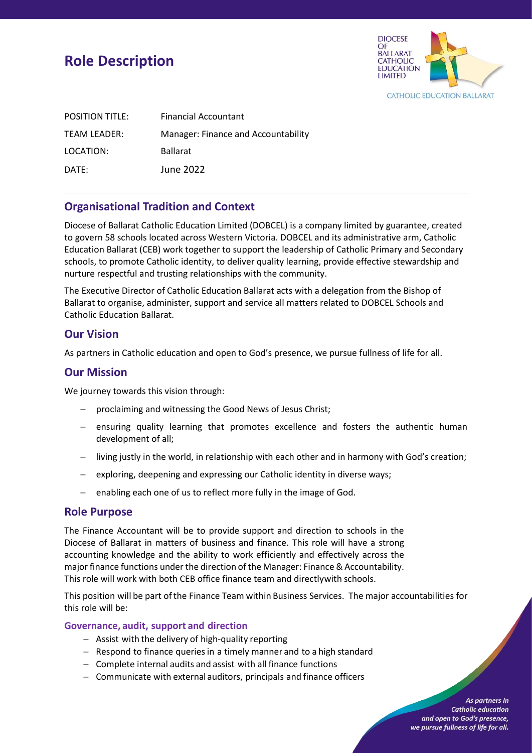# **Role Description**



| <b>POSITION TITLE:</b> | <b>Financial Accountant</b>         |
|------------------------|-------------------------------------|
| TEAM LEADER:           | Manager: Finance and Accountability |
| LOCATION:              | <b>Ballarat</b>                     |
| DATE:                  | June 2022                           |

# **Organisational Tradition and Context**

Diocese of Ballarat Catholic Education Limited (DOBCEL) is a company limited by guarantee, created to govern 58 schools located across Western Victoria. DOBCEL and its administrative arm, Catholic Education Ballarat (CEB) work together to support the leadership of Catholic Primary and Secondary schools, to promote Catholic identity, to deliver quality learning, provide effective stewardship and nurture respectful and trusting relationships with the community.

The Executive Director of Catholic Education Ballarat acts with a delegation from the Bishop of Ballarat to organise, administer, support and service all matters related to DOBCEL Schools and Catholic Education Ballarat.

## **Our Vision**

As partners in Catholic education and open to God's presence, we pursue fullness of life for all.

## **Our Mission**

We journey towards this vision through:

- − proclaiming and witnessing the Good News of Jesus Christ;
- − ensuring quality learning that promotes excellence and fosters the authentic human development of all;
- − living justly in the world, in relationship with each other and in harmony with God's creation;
- − exploring, deepening and expressing our Catholic identity in diverse ways;
- − enabling each one of us to reflect more fully in the image of God.

### **Role Purpose**

The Finance Accountant will be to provide support and direction to schools in the Diocese of Ballarat in matters of business and finance. This role will have a strong accounting knowledge and the ability to work efficiently and effectively across the major finance functions under the direction of the Manager: Finance & Accountability. This role will work with both CEB office finance team and directly with schools.

This position will be part ofthe Finance Team within Business Services. The major accountabilities for this role will be:

### **Governance, audit, support and direction**

- − Assist with the delivery of high-quality reporting
- − Respond to finance queries in a timely manner and to a high standard
- − Complete internal audits and assist with all finance functions
- − Communicate with external auditors, principals and finance officers

As partners in **Catholic education** and open to God's presence, we pursue fullness of life for all.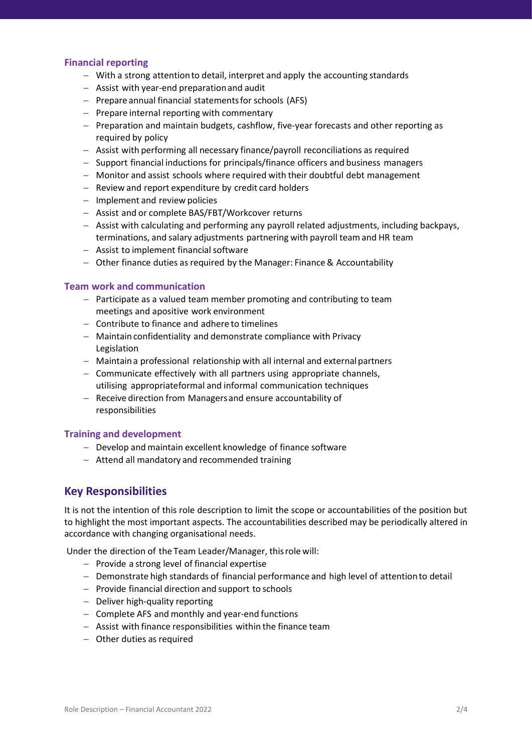### **Financial reporting**

- − With a strong attentionto detail, interpret and apply the accounting standards
- − Assist with year-end preparationand audit
- − Prepare annual financial statementsfor schools (AFS)
- − Prepare internal reporting with commentary
- − Preparation and maintain budgets, cashflow, five-year forecasts and other reporting as required by policy
- − Assist with performing all necessary finance/payroll reconciliations as required
- − Support financial inductions for principals/finance officers and business managers
- − Monitor and assist schools where required with their doubtful debt management
- − Review and report expenditure by credit card holders
- − Implement and review policies
- − Assist and or complete BAS/FBT/Workcover returns
- − Assist with calculating and performing any payroll related adjustments, including backpays, terminations, and salary adjustments partnering with payroll team and HR team
- − Assist to implement financialsoftware
- − Other finance duties asrequired by the Manager: Finance& Accountability

#### **Team work and communication**

- − Participate as a valued team member promoting and contributing to team meetings and apositive work environment
- − Contribute to finance and adhere to timelines
- − Maintainconfidentiality and demonstrate compliance with Privacy Legislation
- − Maintaina professional relationship with all internal and externalpartners
- − Communicate effectively with all partners using appropriate channels, utilising appropriateformal and informal communication techniques
- − Receive direction from Managersand ensure accountability of responsibilities

### **Training and development**

- − Develop and maintain excellent knowledge of finance software
- − Attend all mandatory and recommended training

### **Key Responsibilities**

It is not the intention of this role description to limit the scope or accountabilities of the position but to highlight the most important aspects. The accountabilities described may be periodically altered in accordance with changing organisational needs.

Under the direction of the Team Leader/Manager, thisrole will:

- − Provide a strong level of financial expertise
- − Demonstrate high standards of financial performance and high level of attentionto detail
- − Provide financial direction and support to schools
- − Deliver high-quality reporting
- − Complete AFS and monthly and year-end functions
- − Assist with finance responsibilities within the finance team
- − Other duties as required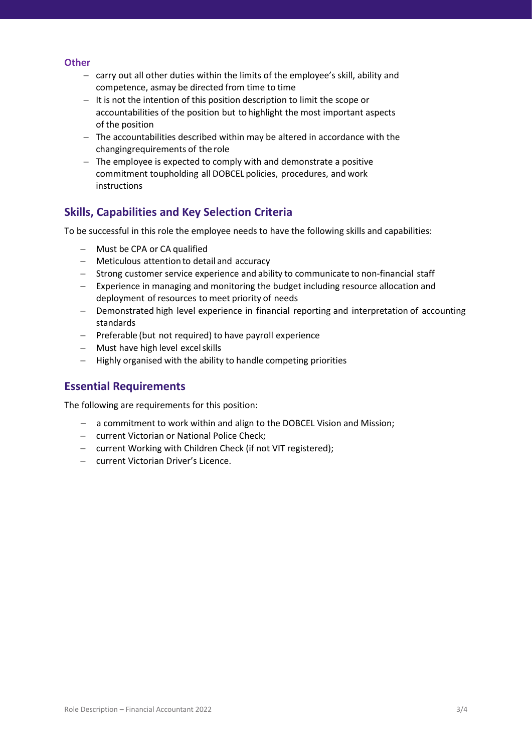#### **Other**

- − carry out all other duties within the limits of the employee's skill, ability and competence, asmay be directed from time to time
- − It is not the intention of this position description to limit the scope or accountabilities of the position but tohighlight the most important aspects of the position
- − The accountabilities described within may be altered in accordance with the changingrequirements of the role
- − The employee is expected to comply with and demonstrate a positive commitment toupholding all DOBCEL policies, procedures, and work instructions

### **Skills, Capabilities and Key Selection Criteria**

To be successful in this role the employee needs to have the following skills and capabilities:

- − Must be CPA or CA qualified
- − Meticulous attentionto detail and accuracy
- − Strong customer service experience and ability to communicate to non-financial staff
- − Experience in managing and monitoring the budget including resource allocation and deployment of resources to meet priority of needs
- − Demonstrated high level experience in financial reporting and interpretation of accounting standards
- − Preferable (but not required) to have payroll experience
- − Must have high level excelskills
- − Highly organised with the ability to handle competing priorities

### **Essential Requirements**

The following are requirements for this position:

- − a commitment to work within and align to the DOBCEL Vision and Mission;
- − current Victorian or National Police Check;
- − current Working with Children Check (if not VIT registered);
- − current Victorian Driver's Licence.